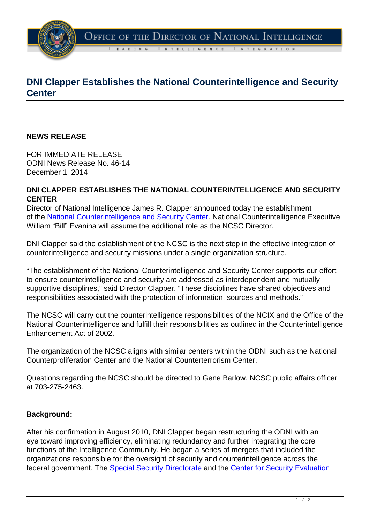

# **DNI Clapper Establishes the National Counterintelligence and Security Center**

### **NEWS RELEASE**

FOR IMMEDIATE RELEASE ODNI News Release No. 46-14 December 1, 2014

### **DNI CLAPPER ESTABLISHES THE NATIONAL COUNTERINTELLIGENCE AND SECURITY CENTER**

Director of National Intelligence James R. Clapper announced today the establishment of the [National Counterintelligence and Security Center](http://www.ncix.gov/SEA/docs/2012-03-13_SEAD-1_Directive.pdf). National Counterintelligence Executive William "Bill" Evanina will assume the additional role as the NCSC Director.

DNI Clapper said the establishment of the NCSC is the next step in the effective integration of counterintelligence and security missions under a single organization structure.

"The establishment of the National Counterintelligence and Security Center supports our effort to ensure counterintelligence and security are addressed as interdependent and mutually supportive disciplines," said Director Clapper. "These disciplines have shared objectives and responsibilities associated with the protection of information, sources and methods."

The NCSC will carry out the counterintelligence responsibilities of the NCIX and the Office of the National Counterintelligence and fulfill their responsibilities as outlined in the Counterintelligence Enhancement Act of 2002.

The organization of the NCSC aligns with similar centers within the ODNI such as the National Counterproliferation Center and the National Counterterrorism Center.

Questions regarding the NCSC should be directed to Gene Barlow, NCSC public affairs officer at 703-275-2463.

#### **Background:**

After his confirmation in August 2010, DNI Clapper began restructuring the ODNI with an eye toward improving efficiency, eliminating redundancy and further integrating the core functions of the Intelligence Community. He began a series of mergers that included the organizations responsible for the oversight of security and counterintelligence across the federal government. The [Special Security Directorate](http://www.ncix.gov/SEA/) and the [Center for Security Evaluation](http://www.dni.gov/files/documents/ICD/ICD_707.pdf)